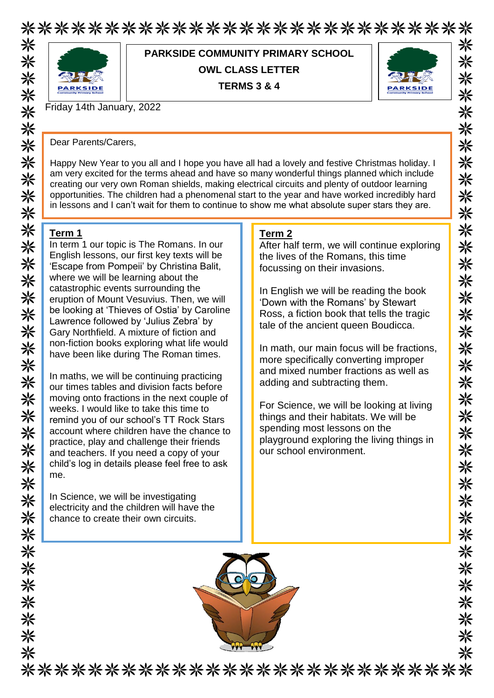## \*\*\*\*\*\*\*\*\*\*\*\*\*\*\*\*\*\*\*\*\*\*\*\*\*\*\* 米



**PARKSIDE COMMUNITY PRIMARY SCHOOL OWL CLASS LETTER TERMS 3 & 4**



米

米

⋇

米

米 米 米

米

米

米

米

米

米 米

米

米 米 米 ☀

米

米

米

☀

☀

☀ 米

米

☀ 兴

米

⋇

米

兴

⋇

Friday 14th January, 2022

Dear Parents/Carers,

Happy New Year to you all and I hope you have all had a lovely and festive Christmas holiday. I am very excited for the terms ahead and have so many wonderful things planned which include creating our very own Roman shields, making electrical circuits and plenty of outdoor learning opportunities. The children had a phenomenal start to the year and have worked incredibly hard in lessons and I can't wait for them to continue to show me what absolute super stars they are.

### **Term 1**

In term 1 our topic is The Romans. In our English lessons, our first key texts will be 'Escape from Pompeii' by Christina Balit, where we will be learning about the catastrophic events surrounding the eruption of Mount Vesuvius. Then, we will be looking at 'Thieves of Ostia' by Caroline Lawrence followed by 'Julius Zebra' by Gary Northfield. A mixture of fiction and non-fiction books exploring what life would have been like during The Roman times.

In maths, we will be continuing practicing our times tables and division facts before moving onto fractions in the next couple of weeks. I would like to take this time to remind you of our school's TT Rock Stars account where children have the chance to practice, play and challenge their friends and teachers. If you need a copy of your child's log in details please feel free to ask me.

In Science, we will be investigating electricity and the children will have the chance to create their own circuits.

#### **Term 2**

After half term, we will continue exploring the lives of the Romans, this time focussing on their invasions.

In English we will be reading the book 'Down with the Romans' by Stewart Ross, a fiction book that tells the tragic tale of the ancient queen Boudicca.

In math, our main focus will be fractions, more specifically converting improper and mixed number fractions as well as adding and subtracting them.

For Science, we will be looking at living things and their habitats. We will be spending most lessons on the playground exploring the living things in our school environment.



\*\*\*\*\*\*\*\*\*\*\*\*\*\*\*\*\*\*\*\*\*\*\*\*\*\*\*